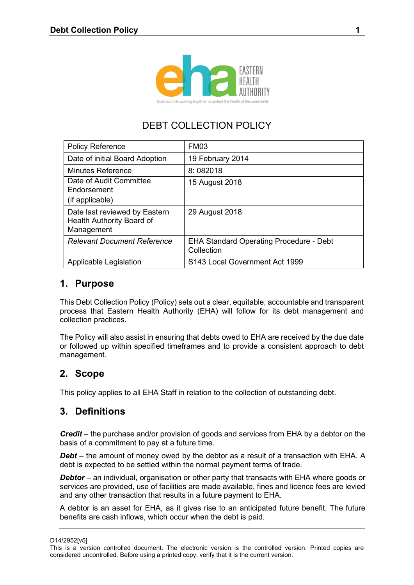

# DEBT COLLECTION POLICY

| <b>Policy Reference</b>                                                  | FM03                                                         |
|--------------------------------------------------------------------------|--------------------------------------------------------------|
| Date of initial Board Adoption                                           | 19 February 2014                                             |
| <b>Minutes Reference</b>                                                 | 8:082018                                                     |
| Date of Audit Committee<br>Endorsement<br>(if applicable)                | 15 August 2018                                               |
| Date last reviewed by Eastern<br>Health Authority Board of<br>Management | 29 August 2018                                               |
| <b>Relevant Document Reference</b>                                       | <b>EHA Standard Operating Procedure - Debt</b><br>Collection |
| Applicable Legislation                                                   | S143 Local Government Act 1999                               |

### **1. Purpose**

This Debt Collection Policy (Policy) sets out a clear, equitable, accountable and transparent process that Eastern Health Authority (EHA) will follow for its debt management and collection practices.

The Policy will also assist in ensuring that debts owed to EHA are received by the due date or followed up within specified timeframes and to provide a consistent approach to debt management.

# **2. Scope**

This policy applies to all EHA Staff in relation to the collection of outstanding debt.

# **3. Definitions**

*Credit* – the purchase and/or provision of goods and services from EHA by a debtor on the basis of a commitment to pay at a future time.

*Debt* – the amount of money owed by the debtor as a result of a transaction with EHA. A debt is expected to be settled within the normal payment terms of trade.

*Debtor* – an individual, organisation or other party that transacts with EHA where goods or services are provided, use of facilities are made available, fines and licence fees are levied and any other transaction that results in a future payment to EHA.

A debtor is an asset for EHA, as it gives rise to an anticipated future benefit. The future benefits are cash inflows, which occur when the debt is paid.

D14/2952[v5]

This is a version controlled document. The electronic version is the controlled version. Printed copies are considered uncontrolled. Before using a printed copy, verify that it is the current version.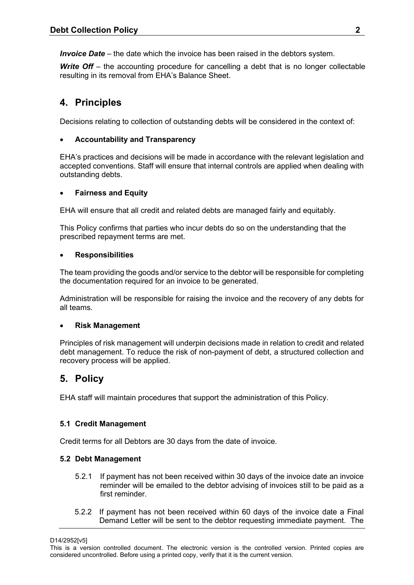*Invoice Date* – the date which the invoice has been raised in the debtors system.

**Write Off** – the accounting procedure for cancelling a debt that is no longer collectable resulting in its removal from EHA's Balance Sheet.

# **4. Principles**

Decisions relating to collection of outstanding debts will be considered in the context of:

#### **Accountability and Transparency**

EHA's practices and decisions will be made in accordance with the relevant legislation and accepted conventions. Staff will ensure that internal controls are applied when dealing with outstanding debts.

#### **Fairness and Equity**

EHA will ensure that all credit and related debts are managed fairly and equitably.

This Policy confirms that parties who incur debts do so on the understanding that the prescribed repayment terms are met.

#### **Responsibilities**

The team providing the goods and/or service to the debtor will be responsible for completing the documentation required for an invoice to be generated.

Administration will be responsible for raising the invoice and the recovery of any debts for all teams.

#### **Risk Management**

Principles of risk management will underpin decisions made in relation to credit and related debt management. To reduce the risk of non-payment of debt, a structured collection and recovery process will be applied.

# **5. Policy**

EHA staff will maintain procedures that support the administration of this Policy.

#### **5.1 Credit Management**

Credit terms for all Debtors are 30 days from the date of invoice.

#### **5.2 Debt Management**

- 5.2.1 If payment has not been received within 30 days of the invoice date an invoice reminder will be emailed to the debtor advising of invoices still to be paid as a first reminder.
- 5.2.2 If payment has not been received within 60 days of the invoice date a Final Demand Letter will be sent to the debtor requesting immediate payment. The

D14/2952[v5]